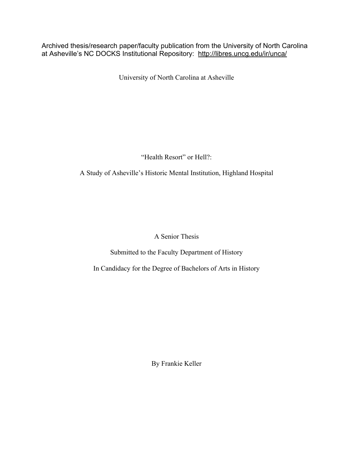Archived thesis/research paper/faculty publication from the University of North Carolina at Asheville's NC DOCKS Institutional Repository: http://libres.uncg.edu/ir/unca/

University of North Carolina at Asheville

"Health Resort" or Hell?:

A Study of Asheville's Historic Mental Institution, Highland Hospital

A Senior Thesis

Submitted to the Faculty Department of History

In Candidacy for the Degree of Bachelors of Arts in History

By Frankie Keller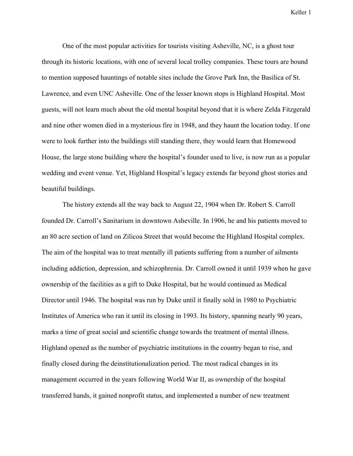One of the most popular activities for tourists visiting Asheville, NC, is a ghost tour through its historic locations, with one of several local trolley companies. These tours are bound to mention supposed hauntings of notable sites include the Grove Park Inn, the Basilica of St. Lawrence, and even UNC Asheville. One of the lesser known stops is Highland Hospital. Most guests, will not learn much about the old mental hospital beyond that it is where Zelda Fitzgerald and nine other women died in a mysterious fire in 1948, and they haunt the location today. If one were to look further into the buildings still standing there, they would learn that Homewood House, the large stone building where the hospital's founder used to live, is now run as a popular wedding and event venue. Yet, Highland Hospital's legacy extends far beyond ghost stories and beautiful buildings.

The history extends all the way back to August 22, 1904 when Dr. Robert S. Carroll founded Dr. Carroll's Sanitarium in downtown Asheville. In 1906, he and his patients moved to an 80 acre section of land on Zilicoa Street that would become the Highland Hospital complex. The aim of the hospital was to treat mentally ill patients suffering from a number of ailments including addiction, depression, and schizophrenia. Dr. Carroll owned it until 1939 when he gave ownership of the facilities as a gift to Duke Hospital, but he would continued as Medical Director until 1946. The hospital was run by Duke until it finally sold in 1980 to Psychiatric Institutes of America who ran it until its closing in 1993. Its history, spanning nearly 90 years, marks a time of great social and scientific change towards the treatment of mental illness. Highland opened as the number of psychiatric institutions in the country began to rise, and finally closed during the deinstitutionalization period. The most radical changes in its management occurred in the years following World War II, as ownership of the hospital transferred hands, it gained nonprofit status, and implemented a number of new treatment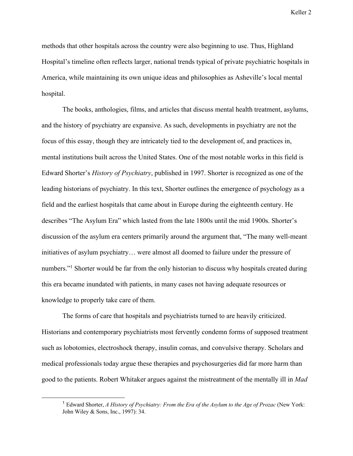methods that other hospitals across the country were also beginning to use. Thus, Highland Hospital's timeline often reflects larger, national trends typical of private psychiatric hospitals in America, while maintaining its own unique ideas and philosophies as Asheville's local mental hospital.

The books, anthologies, films, and articles that discuss mental health treatment, asylums, and the history of psychiatry are expansive. As such, developments in psychiatry are not the focus of this essay, though they are intricately tied to the development of, and practices in, mental institutions built across the United States. One of the most notable works in this field is Edward Shorter's *History of Psychiatry*, published in 1997. Shorter is recognized as one of the leading historians of psychiatry. In this text, Shorter outlines the emergence of psychology as a field and the earliest hospitals that came about in Europe during the eighteenth century. He describes "The Asylum Era" which lasted from the late 1800s until the mid 1900s. Shorter's discussion of the asylum era centers primarily around the argument that, "The many well-meant initiatives of asylum psychiatry… were almost all doomed to failure under the pressure of numbers."<sup>1</sup> Shorter would be far from the only historian to discuss why hospitals created during this era became inundated with patients, in many cases not having adequate resources or knowledge to properly take care of them.

The forms of care that hospitals and psychiatrists turned to are heavily criticized. Historians and contemporary psychiatrists most fervently condemn forms of supposed treatment such as lobotomies, electroshock therapy, insulin comas, and convulsive therapy. Scholars and medical professionals today argue these therapies and psychosurgeries did far more harm than good to the patients. Robert Whitaker argues against the mistreatment of the mentally ill in *Mad* 

 <sup>1</sup> Edward Shorter, *A History of Psychiatry: From the Era of the Asylum to the Age of Prozac* (New York: John Wiley & Sons, Inc., 1997): 34.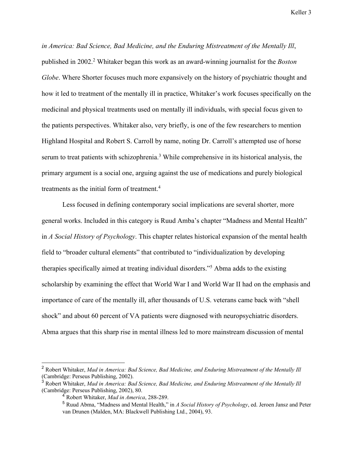*in America: Bad Science, Bad Medicine, and the Enduring Mistreatment of the Mentally Ill*, published in 2002.2 Whitaker began this work as an award-winning journalist for the *Boston Globe*. Where Shorter focuses much more expansively on the history of psychiatric thought and how it led to treatment of the mentally ill in practice, Whitaker's work focuses specifically on the medicinal and physical treatments used on mentally ill individuals, with special focus given to the patients perspectives. Whitaker also, very briefly, is one of the few researchers to mention Highland Hospital and Robert S. Carroll by name, noting Dr. Carroll's attempted use of horse serum to treat patients with schizophrenia.<sup>3</sup> While comprehensive in its historical analysis, the primary argument is a social one, arguing against the use of medications and purely biological treatments as the initial form of treatment.<sup>4</sup>

Less focused in defining contemporary social implications are several shorter, more general works. Included in this category is Ruud Amba's chapter "Madness and Mental Health" in *A Social History of Psychology*. This chapter relates historical expansion of the mental health field to "broader cultural elements" that contributed to "individualization by developing therapies specifically aimed at treating individual disorders."5 Abma adds to the existing scholarship by examining the effect that World War I and World War II had on the emphasis and importance of care of the mentally ill, after thousands of U.S. veterans came back with "shell shock" and about 60 percent of VA patients were diagnosed with neuropsychiatric disorders. Abma argues that this sharp rise in mental illness led to more mainstream discussion of mental

 <sup>2</sup> Robert Whitaker, *Mad in America: Bad Science, Bad Medicine, and Enduring Mistreatment of the Mentally Ill* (Cambridge: Perseus Publishing, 2002).

<sup>3</sup> Robert Whitaker, *Mad in America: Bad Science, Bad Medicine, and Enduring Mistreatment of the Mentally Ill* (Cambridge: Perseus Publishing, 2002), 80.

<sup>4</sup> Robert Whitaker, *Mad in America*, 288-289.

<sup>5</sup> Ruud Abma, "Madness and Mental Health," in *A Social History of Psychology*, ed. Jeroen Jansz and Peter van Drunen (Malden, MA: Blackwell Publishing Ltd., 2004), 93.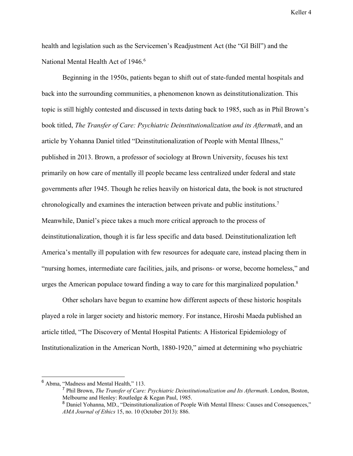health and legislation such as the Servicemen's Readjustment Act (the "GI Bill") and the National Mental Health Act of 1946.<sup>6</sup>

Beginning in the 1950s, patients began to shift out of state-funded mental hospitals and back into the surrounding communities, a phenomenon known as deinstitutionalization. This topic is still highly contested and discussed in texts dating back to 1985, such as in Phil Brown's book titled, *The Transfer of Care: Psychiatric Deinstitutionalization and its Aftermath*, and an article by Yohanna Daniel titled "Deinstitutionalization of People with Mental Illness," published in 2013. Brown, a professor of sociology at Brown University, focuses his text primarily on how care of mentally ill people became less centralized under federal and state governments after 1945. Though he relies heavily on historical data, the book is not structured chronologically and examines the interaction between private and public institutions.7 Meanwhile, Daniel's piece takes a much more critical approach to the process of deinstitutionalization, though it is far less specific and data based. Deinstitutionalization left America's mentally ill population with few resources for adequate care, instead placing them in "nursing homes, intermediate care facilities, jails, and prisons- or worse, become homeless," and urges the American populace toward finding a way to care for this marginalized population.<sup>8</sup>

Other scholars have begun to examine how different aspects of these historic hospitals played a role in larger society and historic memory. For instance, Hiroshi Maeda published an article titled, "The Discovery of Mental Hospital Patients: A Historical Epidemiology of Institutionalization in the American North, 1880-1920," aimed at determining who psychiatric

 <sup>6</sup> Abma, "Madness and Mental Health," 113.

<sup>7</sup> Phil Brown, *The Transfer of Care: Psychiatric Deinstitutionalization and Its Aftermath*. London, Boston, Melbourne and Henley: Routledge & Kegan Paul, 1985.

<sup>8</sup> Daniel Yohanna, MD., "Deinstitutionalization of People With Mental Illness: Causes and Consequences," *AMA Journal of Ethics* 15, no. 10 (October 2013): 886.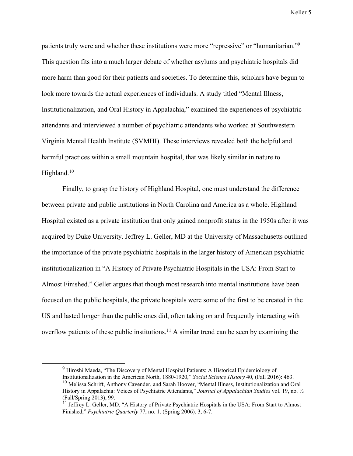patients truly were and whether these institutions were more "repressive" or "humanitarian."9 This question fits into a much larger debate of whether asylums and psychiatric hospitals did more harm than good for their patients and societies. To determine this, scholars have begun to look more towards the actual experiences of individuals. A study titled "Mental Illness, Institutionalization, and Oral History in Appalachia," examined the experiences of psychiatric attendants and interviewed a number of psychiatric attendants who worked at Southwestern Virginia Mental Health Institute (SVMHI). These interviews revealed both the helpful and harmful practices within a small mountain hospital, that was likely similar in nature to Highland.<sup>10</sup>

Finally, to grasp the history of Highland Hospital, one must understand the difference between private and public institutions in North Carolina and America as a whole. Highland Hospital existed as a private institution that only gained nonprofit status in the 1950s after it was acquired by Duke University. Jeffrey L. Geller, MD at the University of Massachusetts outlined the importance of the private psychiatric hospitals in the larger history of American psychiatric institutionalization in "A History of Private Psychiatric Hospitals in the USA: From Start to Almost Finished." Geller argues that though most research into mental institutions have been focused on the public hospitals, the private hospitals were some of the first to be created in the US and lasted longer than the public ones did, often taking on and frequently interacting with overflow patients of these public institutions.<sup>11</sup> A similar trend can be seen by examining the

<sup>&</sup>lt;sup>9</sup> Hiroshi Maeda, "The Discovery of Mental Hospital Patients: A Historical Epidemiology of Institutionalization in the American North, 1880-1920," *Social Science History* 40, (Fall 2016): 463. <sup>10</sup> Melissa Schrift, Anthony Cavender, and Sarah Hoover, "Mental Illness, Institutionalization and Oral History in Appalachia: Voices of Psychiatric Attendants," *Journal of Appalachian Studies* vol. 19, no. ½ (Fall/Spring 2013), 99.

<sup>&</sup>lt;sup>11</sup> Jeffrey L. Geller, MD, "A History of Private Psychiatric Hospitals in the USA: From Start to Almost Finished," *Psychiatric Quarterly* 77, no. 1. (Spring 2006), 3, 6-7.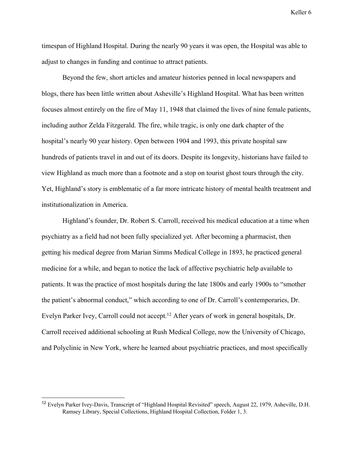timespan of Highland Hospital. During the nearly 90 years it was open, the Hospital was able to adjust to changes in funding and continue to attract patients.

Beyond the few, short articles and amateur histories penned in local newspapers and blogs, there has been little written about Asheville's Highland Hospital. What has been written focuses almost entirely on the fire of May 11, 1948 that claimed the lives of nine female patients, including author Zelda Fitzgerald. The fire, while tragic, is only one dark chapter of the hospital's nearly 90 year history. Open between 1904 and 1993, this private hospital saw hundreds of patients travel in and out of its doors. Despite its longevity, historians have failed to view Highland as much more than a footnote and a stop on tourist ghost tours through the city. Yet, Highland's story is emblematic of a far more intricate history of mental health treatment and institutionalization in America.

Highland's founder, Dr. Robert S. Carroll, received his medical education at a time when psychiatry as a field had not been fully specialized yet. After becoming a pharmacist, then getting his medical degree from Marian Simms Medical College in 1893, he practiced general medicine for a while, and began to notice the lack of affective psychiatric help available to patients. It was the practice of most hospitals during the late 1800s and early 1900s to "smother the patient's abnormal conduct," which according to one of Dr. Carroll's contemporaries, Dr. Evelyn Parker Ivey, Carroll could not accept.<sup>12</sup> After years of work in general hospitals, Dr. Carroll received additional schooling at Rush Medical College, now the University of Chicago, and Polyclinic in New York, where he learned about psychiatric practices, and most specifically

 <sup>12</sup> Evelyn Parker Ivey-Davis, Transcript of "Highland Hospital Revisited" speech, August 22, 1979, Asheville, D.H. Ramsey Library, Special Collections, Highland Hospital Collection, Folder 1, 3.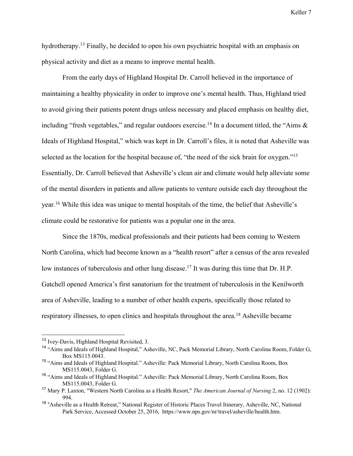hydrotherapy.<sup>13</sup> Finally, he decided to open his own psychiatric hospital with an emphasis on physical activity and diet as a means to improve mental health.

From the early days of Highland Hospital Dr. Carroll believed in the importance of maintaining a healthy physicality in order to improve one's mental health. Thus, Highland tried to avoid giving their patients potent drugs unless necessary and placed emphasis on healthy diet, including "fresh vegetables," and regular outdoors exercise.<sup>14</sup> In a document titled, the "Aims  $\&$ Ideals of Highland Hospital," which was kept in Dr. Carroll's files, it is noted that Asheville was selected as the location for the hospital because of, "the need of the sick brain for oxygen."<sup>15</sup> Essentially, Dr. Carroll believed that Asheville's clean air and climate would help alleviate some of the mental disorders in patients and allow patients to venture outside each day throughout the year.16 While this idea was unique to mental hospitals of the time, the belief that Asheville's climate could be restorative for patients was a popular one in the area.

Since the 1870s, medical professionals and their patients had been coming to Western North Carolina, which had become known as a "health resort" after a census of the area revealed low instances of tuberculosis and other lung disease.<sup>17</sup> It was during this time that Dr. H.P. Gatchell opened America's first sanatorium for the treatment of tuberculosis in the Kenilworth area of Asheville, leading to a number of other health experts, specifically those related to respiratory illnesses, to open clinics and hospitals throughout the area.18 Asheville became

 <sup>13</sup> Ivey-Davis, Highland Hospital Revisited, 3.

<sup>&</sup>lt;sup>14</sup> "Aims and Ideals of Highland Hospital," Asheville, NC, Pack Memorial Library, North Carolina Room, Folder G, Box MS115.0043.

<sup>&</sup>lt;sup>15</sup> "Aims and Ideals of Highland Hospital." Asheville: Pack Memorial Library, North Carolina Room, Box MS115.0043, Folder G.

<sup>&</sup>lt;sup>16</sup> "Aims and Ideals of Highland Hospital." Asheville: Pack Memorial Library, North Carolina Room, Box MS115.0043, Folder G.

<sup>17</sup> Mary P. Laxton, "Western North Carolina as a Health Resort," *The American Journal of Nursing* 2, no. 12 (1902): 994.

<sup>&</sup>lt;sup>18</sup> "Asheville as a Health Retreat," National Register of Historic Places Travel Itinerary, Asheville, NC, National Park Service, Accessed October 25, 2016, https://www.nps.gov/nr/travel/asheville/health.htm.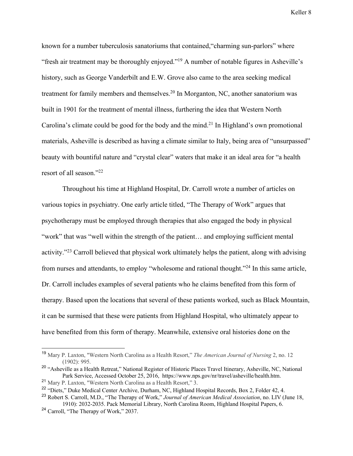known for a number tuberculosis sanatoriums that contained,"charming sun-parlors" where "fresh air treatment may be thoroughly enjoyed."19 A number of notable figures in Asheville's history, such as George Vanderbilt and E.W. Grove also came to the area seeking medical treatment for family members and themselves.<sup>20</sup> In Morganton, NC, another sanatorium was built in 1901 for the treatment of mental illness, furthering the idea that Western North Carolina's climate could be good for the body and the mind.<sup>21</sup> In Highland's own promotional materials, Asheville is described as having a climate similar to Italy, being area of "unsurpassed" beauty with bountiful nature and "crystal clear" waters that make it an ideal area for "a health resort of all season."22

Throughout his time at Highland Hospital, Dr. Carroll wrote a number of articles on various topics in psychiatry. One early article titled, "The Therapy of Work" argues that psychotherapy must be employed through therapies that also engaged the body in physical "work" that was "well within the strength of the patient… and employing sufficient mental activity."23 Carroll believed that physical work ultimately helps the patient, along with advising from nurses and attendants, to employ "wholesome and rational thought."24 In this same article, Dr. Carroll includes examples of several patients who he claims benefited from this form of therapy. Based upon the locations that several of these patients worked, such as Black Mountain, it can be surmised that these were patients from Highland Hospital, who ultimately appear to have benefited from this form of therapy. Meanwhile, extensive oral histories done on the

 <sup>19</sup> Mary P. Laxton, "Western North Carolina as a Health Resort," *The American Journal of Nursing* 2, no. 12 (1902): 995.

<sup>&</sup>lt;sup>20</sup> "Asheville as a Health Retreat," National Register of Historic Places Travel Itinerary, Asheville, NC, National Park Service, Accessed October 25, 2016, https://www.nps.gov/nr/travel/asheville/health.htm.

<sup>21</sup> Mary P. Laxton, "Western North Carolina as a Health Resort," 3.

<sup>&</sup>lt;sup>22</sup> "Diets," Duke Medical Center Archive, Durham, NC, Highland Hospital Records, Box 2, Folder 42, 4.

<sup>23</sup> Robert S. Carroll, M.D., "The Therapy of Work," *Journal of American Medical Association*, no. LIV (June 18, 1910): 2032-2035. Pack Memorial Library, North Carolina Room, Highland Hospital Papers, 6.

<sup>&</sup>lt;sup>24</sup> Carroll, "The Therapy of Work," 2037.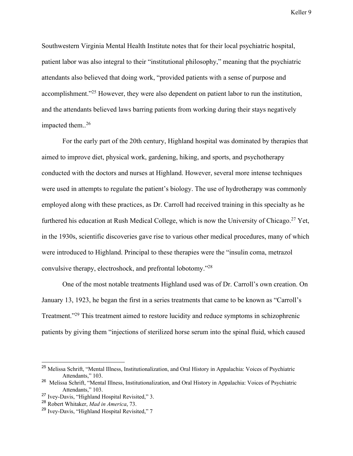Southwestern Virginia Mental Health Institute notes that for their local psychiatric hospital, patient labor was also integral to their "institutional philosophy," meaning that the psychiatric attendants also believed that doing work, "provided patients with a sense of purpose and accomplishment."25 However, they were also dependent on patient labor to run the institution, and the attendants believed laws barring patients from working during their stays negatively impacted them..<sup>26</sup>

For the early part of the 20th century, Highland hospital was dominated by therapies that aimed to improve diet, physical work, gardening, hiking, and sports, and psychotherapy conducted with the doctors and nurses at Highland. However, several more intense techniques were used in attempts to regulate the patient's biology. The use of hydrotherapy was commonly employed along with these practices, as Dr. Carroll had received training in this specialty as he furthered his education at Rush Medical College, which is now the University of Chicago.<sup>27</sup> Yet, in the 1930s, scientific discoveries gave rise to various other medical procedures, many of which were introduced to Highland. Principal to these therapies were the "insulin coma, metrazol convulsive therapy, electroshock, and prefrontal lobotomy."28

One of the most notable treatments Highland used was of Dr. Carroll's own creation. On January 13, 1923, he began the first in a series treatments that came to be known as "Carroll's Treatment."29 This treatment aimed to restore lucidity and reduce symptoms in schizophrenic patients by giving them "injections of sterilized horse serum into the spinal fluid, which caused

<sup>&</sup>lt;sup>25</sup> Melissa Schrift, "Mental Illness, Institutionalization, and Oral History in Appalachia: Voices of Psychiatric Attendants," 103.

<sup>&</sup>lt;sup>26</sup> Melissa Schrift, "Mental Illness, Institutionalization, and Oral History in Appalachia: Voices of Psychiatric Attendants," 103.

<sup>&</sup>lt;sup>27</sup> Ivey-Davis, "Highland Hospital Revisited," 3.

<sup>28</sup> Robert Whitaker, *Mad in America*, 73.

<sup>&</sup>lt;sup>29</sup> Ivey-Davis, "Highland Hospital Revisited," 7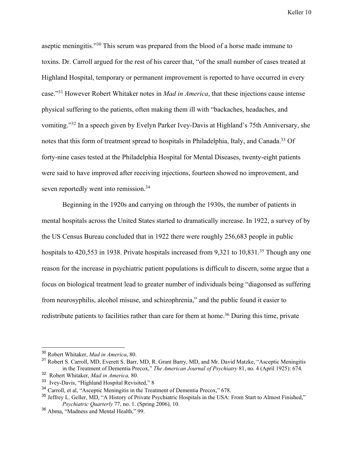aseptic meningitis."30 This serum was prepared from the blood of a horse made immune to toxins. Dr. Carroll argued for the rest of his career that, "of the small number of cases treated at Highland Hospital, temporary or permanent improvement is reported to have occurred in every case."31 However Robert Whitaker notes in *Mad in America*, that these injections cause intense physical suffering to the patients, often making them ill with "backaches, headaches, and vomiting."32 In a speech given by Evelyn Parker Ivey-Davis at Highland's 75th Anniversary, she notes that this form of treatment spread to hospitals in Philadelphia, Italy, and Canada.<sup>33</sup> Of forty-nine cases tested at the Philadelphia Hospital for Mental Diseases, twenty-eight patients were said to have improved after receiving injections, fourteen showed no improvement, and seven reportedly went into remission.<sup>34</sup>

Beginning in the 1920s and carrying on through the 1930s, the number of patients in mental hospitals across the United States started to dramatically increase. In 1922, a survey of by the US Census Bureau concluded that in 1922 there were roughly 256,683 people in public hospitals to 420,553 in 1938. Private hospitals increased from 9,321 to 10,831.<sup>35</sup> Though any one reason for the increase in psychiatric patient populations is difficult to discern, some argue that a focus on biological treatment lead to greater number of individuals being "diagonsed as suffering from neurosyphilis, alcohol misuse, and schizophrenia," and the public found it easier to redistribute patients to facilities rather than care for them at home.<sup>36</sup> During this time, private

 <sup>30</sup> Robert Whitaker, *Mad in America*, 80.

<sup>&</sup>lt;sup>31</sup> Robert S. Carroll, MD, Everett S. Barr, MD, R. Grant Barry, MD, and Mr. David Matzke, "Asceptic Meningitis in the Treatment of Dementia Precox," *The American Journal of Psychiatry* 81, no. 4 (April 1925): 674.

<sup>32</sup> Robert Whitaker, *Mad in America,* 80.

<sup>33</sup> Ivey-Davis, "Highland Hospital Revisited," 8

<sup>&</sup>lt;sup>34</sup> Carroll, et al, "Asceptic Meningitis in the Treatment of Dementia Precox," 678.

<sup>&</sup>lt;sup>35</sup> Jeffrey L. Geller, MD, "A History of Private Psychiatric Hospitals in the USA: From Start to Almost Finished," *Psychiatric Quarterly* 77, no. 1. (Spring 2006), 10.

<sup>36</sup> Abma, "Madness and Mental Health," 99.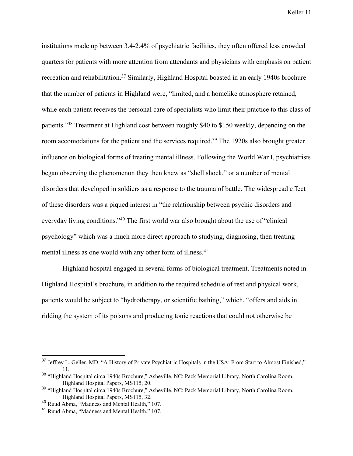institutions made up between 3.4-2.4% of psychiatric facilities, they often offered less crowded quarters for patients with more attention from attendants and physicians with emphasis on patient recreation and rehabilitation.<sup>37</sup> Similarly, Highland Hospital boasted in an early 1940s brochure that the number of patients in Highland were, "limited, and a homelike atmosphere retained, while each patient receives the personal care of specialists who limit their practice to this class of patients."38 Treatment at Highland cost between roughly \$40 to \$150 weekly, depending on the room accomodations for the patient and the services required.<sup>39</sup> The 1920s also brought greater influence on biological forms of treating mental illness. Following the World War I, psychiatrists began observing the phenomenon they then knew as "shell shock," or a number of mental disorders that developed in soldiers as a response to the trauma of battle. The widespread effect of these disorders was a piqued interest in "the relationship between psychic disorders and everyday living conditions."40 The first world war also brought about the use of "clinical psychology" which was a much more direct approach to studying, diagnosing, then treating mental illness as one would with any other form of illness.<sup>41</sup>

Highland hospital engaged in several forms of biological treatment. Treatments noted in Highland Hospital's brochure, in addition to the required schedule of rest and physical work, patients would be subject to "hydrotherapy, or scientific bathing," which, "offers and aids in ridding the system of its poisons and producing tonic reactions that could not otherwise be

<sup>&</sup>lt;sup>37</sup> Jeffrey L. Geller, MD, "A History of Private Psychiatric Hospitals in the USA: From Start to Almost Finished," 11.

<sup>38</sup> "Highland Hospital circa 1940s Brochure," Asheville, NC: Pack Memorial Library, North Carolina Room, Highland Hospital Papers, MS115, 20.

<sup>39</sup> "Highland Hospital circa 1940s Brochure," Asheville, NC: Pack Memorial Library, North Carolina Room, Highland Hospital Papers, MS115, 32.

<sup>40</sup> Ruud Abma, "Madness and Mental Health," 107.

<sup>41</sup> Ruud Abma, "Madness and Mental Health," 107.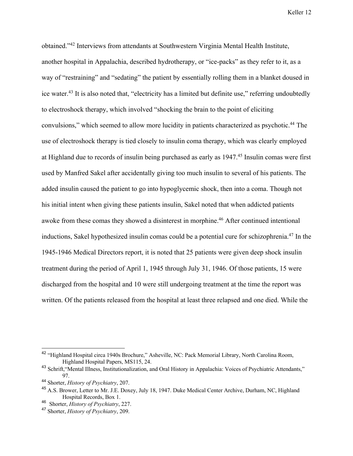obtained."42 Interviews from attendants at Southwestern Virginia Mental Health Institute, another hospital in Appalachia, described hydrotherapy, or "ice-packs" as they refer to it, as a way of "restraining" and "sedating" the patient by essentially rolling them in a blanket doused in ice water.43 It is also noted that, "electricity has a limited but definite use," referring undoubtedly to electroshock therapy, which involved "shocking the brain to the point of eliciting convulsions," which seemed to allow more lucidity in patients characterized as psychotic.<sup>44</sup> The use of electroshock therapy is tied closely to insulin coma therapy, which was clearly employed at Highland due to records of insulin being purchased as early as 1947.45 Insulin comas were first used by Manfred Sakel after accidentally giving too much insulin to several of his patients. The added insulin caused the patient to go into hypoglycemic shock, then into a coma. Though not his initial intent when giving these patients insulin, Sakel noted that when addicted patients awoke from these comas they showed a disinterest in morphine.<sup>46</sup> After continued intentional inductions, Sakel hypothesized insulin comas could be a potential cure for schizophrenia.47 In the 1945-1946 Medical Directors report, it is noted that 25 patients were given deep shock insulin treatment during the period of April 1, 1945 through July 31, 1946. Of those patients, 15 were discharged from the hospital and 10 were still undergoing treatment at the time the report was written. Of the patients released from the hospital at least three relapsed and one died. While the

 <sup>42</sup> "Highland Hospital circa 1940s Brochure," Asheville, NC: Pack Memorial Library, North Carolina Room, Highland Hospital Papers, MS115, 24.

<sup>&</sup>lt;sup>43</sup> Schrift, "Mental Illness, Institutionalization, and Oral History in Appalachia: Voices of Psychiatric Attendants," 97.

<sup>44</sup> Shorter, *History of Psychiatry*, 207.

<sup>45</sup> A.S. Brower, Letter to Mr. J.E. Doxey, July 18, 1947. Duke Medical Center Archive, Durham, NC, Highland Hospital Records, Box 1.

<sup>46</sup> Shorter, *History of Psychiatry*, 227.

<sup>47</sup> Shorter, *History of Psychiatry*, 209.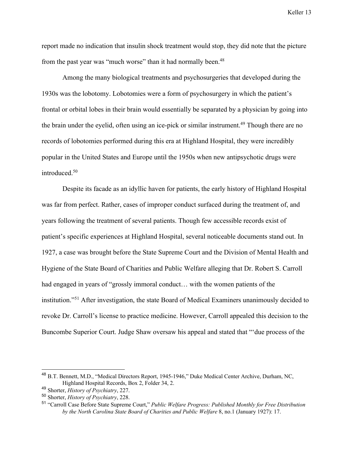report made no indication that insulin shock treatment would stop, they did note that the picture from the past year was "much worse" than it had normally been.<sup>48</sup>

Among the many biological treatments and psychosurgeries that developed during the 1930s was the lobotomy. Lobotomies were a form of psychosurgery in which the patient's frontal or orbital lobes in their brain would essentially be separated by a physician by going into the brain under the eyelid, often using an ice-pick or similar instrument.<sup>49</sup> Though there are no records of lobotomies performed during this era at Highland Hospital, they were incredibly popular in the United States and Europe until the 1950s when new antipsychotic drugs were introduced.50

Despite its facade as an idyllic haven for patients, the early history of Highland Hospital was far from perfect. Rather, cases of improper conduct surfaced during the treatment of, and years following the treatment of several patients. Though few accessible records exist of patient's specific experiences at Highland Hospital, several noticeable documents stand out. In 1927, a case was brought before the State Supreme Court and the Division of Mental Health and Hygiene of the State Board of Charities and Public Welfare alleging that Dr. Robert S. Carroll had engaged in years of "grossly immoral conduct... with the women patients of the institution."51 After investigation, the state Board of Medical Examiners unanimously decided to revoke Dr. Carroll's license to practice medicine. However, Carroll appealed this decision to the Buncombe Superior Court. Judge Shaw oversaw his appeal and stated that "'due process of the

 <sup>48</sup> B.T. Bennett, M.D., "Medical Directors Report, 1945-1946," Duke Medical Center Archive, Durham, NC, Highland Hospital Records, Box 2, Folder 34, 2.

<sup>49</sup> Shorter, *History of Psychiatry*, 227.

<sup>50</sup> Shorter, *History of Psychiatry*, 228.

<sup>51</sup> "Carroll Case Before State Supreme Court," *Public Welfare Progress: Published Monthly for Free Distribution by the North Carolina State Board of Charities and Public Welfare* 8, no.1 (January 1927): 17.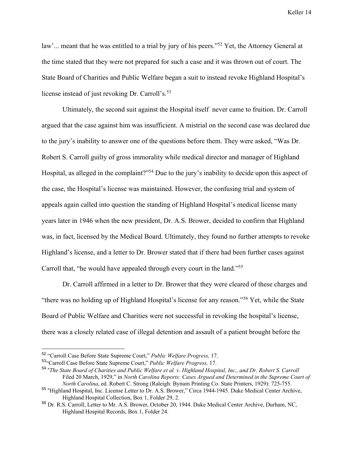law'... meant that he was entitled to a trial by jury of his peers."<sup>52</sup> Yet, the Attorney General at the time stated that they were not prepared for such a case and it was thrown out of court. The State Board of Charities and Public Welfare began a suit to instead revoke Highland Hospital's license instead of just revoking Dr. Carroll's.<sup>53</sup>

Ultimately, the second suit against the Hospital itself never came to fruition. Dr. Carroll argued that the case against him was insufficient. A mistrial on the second case was declared due to the jury's inability to answer one of the questions before them. They were asked, "Was Dr. Robert S. Carroll guilty of gross immorality while medical director and manager of Highland Hospital, as alleged in the complaint?"54 Due to the jury's inability to decide upon this aspect of the case, the Hospital's license was maintained. However, the confusing trial and system of appeals again called into question the standing of Highland Hospital's medical license many years later in 1946 when the new president, Dr. A.S. Brower, decided to confirm that Highland was, in fact, licensed by the Medical Board. Ultimately, they found no further attempts to revoke Highland's license, and a letter to Dr. Brower stated that if there had been further cases against Carroll that, "he would have appealed through every court in the land."55

Dr. Carroll affirmed in a letter to Dr. Brower that they were cleared of these charges and "there was no holding up of Highland Hospital's license for any reason."56 Yet, while the State Board of Public Welfare and Charities were not successful in revoking the hospital's license, there was a closely related case of illegal detention and assault of a patient brought before the

 <sup>52</sup> "Carroll Case Before State Supreme Court," *Public Welfare Progress,* 17.

<sup>53</sup>"Carroll Case Before State Supreme Court," *Public Welfare Progress,* 17.

<sup>54</sup> "*The State Board of Charities and Public Welfare et al. v. Highland Hospital, Inc., and Dr. Robert S. Carroll* Filed 20 March, 1929," in *North Carolina Reports: Cases Argued and Determined in the Supreme Court of North Carolina*, ed. Robert C. Strong (Raleigh: Bynum Printing Co. State Printers, 1929): 725-755.

<sup>55</sup> "Highland Hospital, Inc. License Letter to Dr. A.S. Brower," Circa 1944-1945. Duke Medical Center Archive, Highland Hospital Collection, Box 1, Folder 29, 2.

<sup>56</sup> Dr. R.S. Carroll, Letter to Mr. A.S. Brower, October 20, 1944. Duke Medical Center Archive, Durham, NC, Highland Hospital Records, Box 1, Folder 24.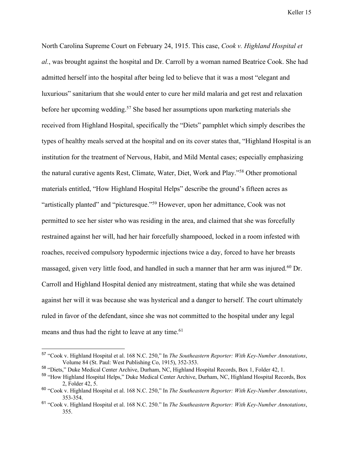North Carolina Supreme Court on February 24, 1915. This case, *Cook v. Highland Hospital et al.*, was brought against the hospital and Dr. Carroll by a woman named Beatrice Cook. She had admitted herself into the hospital after being led to believe that it was a most "elegant and luxurious" sanitarium that she would enter to cure her mild malaria and get rest and relaxation before her upcoming wedding.57 She based her assumptions upon marketing materials she received from Highland Hospital, specifically the "Diets" pamphlet which simply describes the types of healthy meals served at the hospital and on its cover states that, "Highland Hospital is an institution for the treatment of Nervous, Habit, and Mild Mental cases; especially emphasizing the natural curative agents Rest, Climate, Water, Diet, Work and Play."58 Other promotional materials entitled, "How Highland Hospital Helps" describe the ground's fifteen acres as "artistically planted" and "picturesque."59 However, upon her admittance, Cook was not permitted to see her sister who was residing in the area, and claimed that she was forcefully restrained against her will, had her hair forcefully shampooed, locked in a room infested with roaches, received compulsory hypodermic injections twice a day, forced to have her breasts massaged, given very little food, and handled in such a manner that her arm was injured.<sup>60</sup> Dr. Carroll and Highland Hospital denied any mistreatment, stating that while she was detained against her will it was because she was hysterical and a danger to herself. The court ultimately ruled in favor of the defendant, since she was not committed to the hospital under any legal means and thus had the right to leave at any time.<sup>61</sup>

 <sup>57</sup> "Cook v. Highland Hospital et al. 168 N.C. 250," In *The Southeastern Reporter: With Key-Number Annotations*, Volume 84 (St. Paul: West Publishing Co, 1915), 352-353.

<sup>58</sup> "Diets," Duke Medical Center Archive, Durham, NC, Highland Hospital Records, Box 1, Folder 42, 1.

<sup>&</sup>lt;sup>59</sup> "How Highland Hospital Helps," Duke Medical Center Archive, Durham, NC, Highland Hospital Records, Box 2, Folder 42, 5.

<sup>60</sup> "Cook v. Highland Hospital et al. 168 N.C. 250," In *The Southeastern Reporter: With Key-Number Annotations*, 353-354.

<sup>61</sup> "Cook v. Highland Hospital et al. 168 N.C. 250." In *The Southeastern Reporter: With Key-Number Annotations*, 355.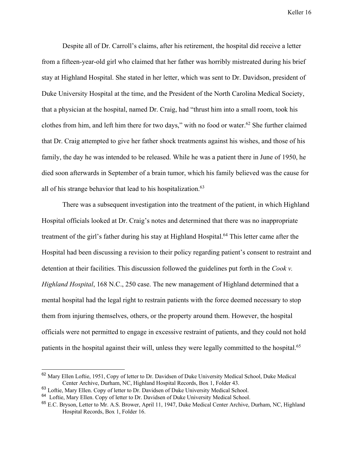Despite all of Dr. Carroll's claims, after his retirement, the hospital did receive a letter from a fifteen-year-old girl who claimed that her father was horribly mistreated during his brief stay at Highland Hospital. She stated in her letter, which was sent to Dr. Davidson, president of Duke University Hospital at the time, and the President of the North Carolina Medical Society, that a physician at the hospital, named Dr. Craig, had "thrust him into a small room, took his clothes from him, and left him there for two days," with no food or water. $62$  She further claimed that Dr. Craig attempted to give her father shock treatments against his wishes, and those of his family, the day he was intended to be released. While he was a patient there in June of 1950, he died soon afterwards in September of a brain tumor, which his family believed was the cause for all of his strange behavior that lead to his hospitalization.<sup>63</sup>

There was a subsequent investigation into the treatment of the patient, in which Highland Hospital officials looked at Dr. Craig's notes and determined that there was no inappropriate treatment of the girl's father during his stay at Highland Hospital.<sup>64</sup> This letter came after the Hospital had been discussing a revision to their policy regarding patient's consent to restraint and detention at their facilities. This discussion followed the guidelines put forth in the *Cook v. Highland Hospital*, 168 N.C., 250 case. The new management of Highland determined that a mental hospital had the legal right to restrain patients with the force deemed necessary to stop them from injuring themselves, others, or the property around them. However, the hospital officials were not permitted to engage in excessive restraint of patients, and they could not hold patients in the hospital against their will, unless they were legally committed to the hospital.<sup>65</sup>

 $62$  Mary Ellen Loftie, 1951, Copy of letter to Dr. Davidsen of Duke University Medical School, Duke Medical Center Archive, Durham, NC, Highland Hospital Records, Box 1, Folder 43.

<sup>63</sup> Loftie, Mary Ellen. Copy of letter to Dr. Davidsen of Duke University Medical School.

<sup>&</sup>lt;sup>64</sup> Loftie, Mary Ellen. Copy of letter to Dr. Davidsen of Duke University Medical School.

<sup>&</sup>lt;sup>65</sup> E.C. Bryson, Letter to Mr. A.S. Brower, April 11, 1947, Duke Medical Center Archive, Durham, NC, Highland Hospital Records, Box 1, Folder 16.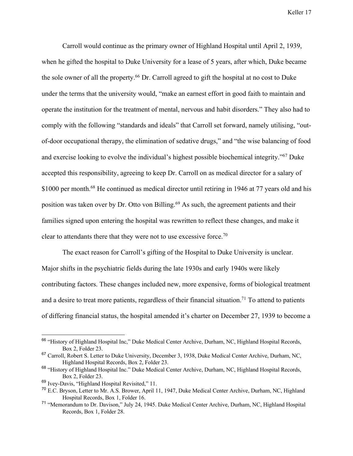Carroll would continue as the primary owner of Highland Hospital until April 2, 1939, when he gifted the hospital to Duke University for a lease of 5 years, after which, Duke became the sole owner of all the property.<sup>66</sup> Dr. Carroll agreed to gift the hospital at no cost to Duke under the terms that the university would, "make an earnest effort in good faith to maintain and operate the institution for the treatment of mental, nervous and habit disorders." They also had to comply with the following "standards and ideals" that Carroll set forward, namely utilising, "outof-door occupational therapy, the elimination of sedative drugs," and "the wise balancing of food and exercise looking to evolve the individual's highest possible biochemical integrity."67 Duke accepted this responsibility, agreeing to keep Dr. Carroll on as medical director for a salary of \$1000 per month.<sup>68</sup> He continued as medical director until retiring in 1946 at 77 years old and his position was taken over by Dr. Otto von Billing.<sup>69</sup> As such, the agreement patients and their families signed upon entering the hospital was rewritten to reflect these changes, and make it clear to attendants there that they were not to use excessive force.<sup>70</sup>

The exact reason for Carroll's gifting of the Hospital to Duke University is unclear. Major shifts in the psychiatric fields during the late 1930s and early 1940s were likely contributing factors. These changes included new, more expensive, forms of biological treatment and a desire to treat more patients, regardless of their financial situation.<sup>71</sup> To attend to patients of differing financial status, the hospital amended it's charter on December 27, 1939 to become a

<sup>&</sup>lt;sup>66</sup> "History of Highland Hospital Inc," Duke Medical Center Archive, Durham, NC, Highland Hospital Records, Box 2, Folder 23.

<sup>&</sup>lt;sup>67</sup> Carroll. Robert S. Letter to Duke University, December 3, 1938, Duke Medical Center Archive, Durham, NC, Highland Hospital Records, Box 2, Folder 23.

<sup>&</sup>lt;sup>68</sup> "History of Highland Hospital Inc." Duke Medical Center Archive, Durham, NC, Highland Hospital Records, Box 2, Folder 23.

<sup>69</sup> Ivey-Davis, "Highland Hospital Revisited," 11.

<sup>&</sup>lt;sup>70</sup> E.C. Bryson, Letter to Mr. A.S. Brower, April 11, 1947, Duke Medical Center Archive, Durham, NC, Highland Hospital Records, Box 1, Folder 16.

<sup>&</sup>lt;sup>71</sup> "Memorandum to Dr. Davison," July 24, 1945. Duke Medical Center Archive, Durham, NC, Highland Hospital Records, Box 1, Folder 28.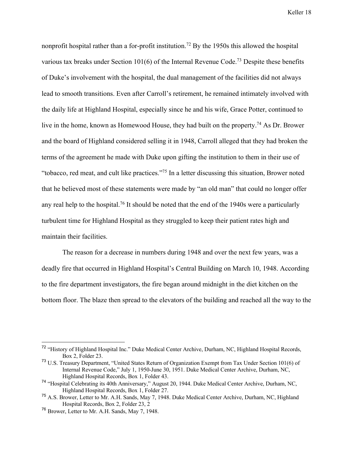nonprofit hospital rather than a for-profit institution.<sup>72</sup> By the 1950s this allowed the hospital various tax breaks under Section 101(6) of the Internal Revenue Code.73 Despite these benefits of Duke's involvement with the hospital, the dual management of the facilities did not always lead to smooth transitions. Even after Carroll's retirement, he remained intimately involved with the daily life at Highland Hospital, especially since he and his wife, Grace Potter, continued to live in the home, known as Homewood House, they had built on the property.74 As Dr. Brower and the board of Highland considered selling it in 1948, Carroll alleged that they had broken the terms of the agreement he made with Duke upon gifting the institution to them in their use of "tobacco, red meat, and cult like practices."75 In a letter discussing this situation, Brower noted that he believed most of these statements were made by "an old man" that could no longer offer any real help to the hospital.<sup>76</sup> It should be noted that the end of the 1940s were a particularly turbulent time for Highland Hospital as they struggled to keep their patient rates high and maintain their facilities.

The reason for a decrease in numbers during 1948 and over the next few years, was a deadly fire that occurred in Highland Hospital's Central Building on March 10, 1948. According to the fire department investigators, the fire began around midnight in the diet kitchen on the bottom floor. The blaze then spread to the elevators of the building and reached all the way to the

<sup>&</sup>lt;sup>72</sup> "History of Highland Hospital Inc." Duke Medical Center Archive, Durham, NC, Highland Hospital Records, Box 2, Folder 23.

<sup>&</sup>lt;sup>73</sup> U.S. Treasury Department, "United States Return of Organization Exempt from Tax Under Section 101(6) of Internal Revenue Code," July 1, 1950-June 30, 1951. Duke Medical Center Archive, Durham, NC, Highland Hospital Records, Box 1, Folder 43.

<sup>74</sup> "Hospital Celebrating its 40th Anniversary," August 20, 1944. Duke Medical Center Archive, Durham, NC, Highland Hospital Records, Box 1, Folder 27.

<sup>&</sup>lt;sup>75</sup> A.S. Brower, Letter to Mr. A.H. Sands, May 7, 1948. Duke Medical Center Archive, Durham, NC, Highland Hospital Records, Box 2, Folder 23, 2

<sup>76</sup> Brower, Letter to Mr. A.H. Sands, May 7, 1948.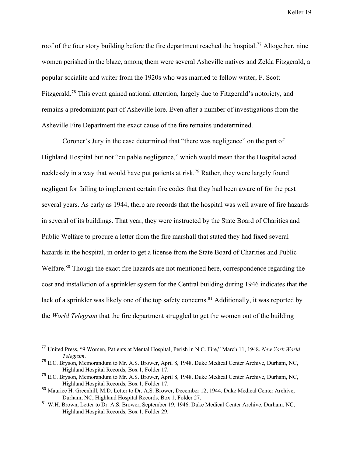roof of the four story building before the fire department reached the hospital.<sup>77</sup> Altogether, nine women perished in the blaze, among them were several Asheville natives and Zelda Fitzgerald, a popular socialite and writer from the 1920s who was married to fellow writer, F. Scott Fitzgerald.78 This event gained national attention, largely due to Fitzgerald's notoriety, and remains a predominant part of Asheville lore. Even after a number of investigations from the Asheville Fire Department the exact cause of the fire remains undetermined.

Coroner's Jury in the case determined that "there was negligence" on the part of Highland Hospital but not "culpable negligence," which would mean that the Hospital acted recklessly in a way that would have put patients at risk.79 Rather, they were largely found negligent for failing to implement certain fire codes that they had been aware of for the past several years. As early as 1944, there are records that the hospital was well aware of fire hazards in several of its buildings. That year, they were instructed by the State Board of Charities and Public Welfare to procure a letter from the fire marshall that stated they had fixed several hazards in the hospital, in order to get a license from the State Board of Charities and Public Welfare.<sup>80</sup> Though the exact fire hazards are not mentioned here, correspondence regarding the cost and installation of a sprinkler system for the Central building during 1946 indicates that the lack of a sprinkler was likely one of the top safety concerns.<sup>81</sup> Additionally, it was reported by the *World Telegram* that the fire department struggled to get the women out of the building

 <sup>77</sup> United Press, "9 Women, Patients at Mental Hospital, Perish in N.C. Fire," March 11, 1948. *New York World Telegram*.

<sup>78</sup> E.C. Bryson, Memorandum to Mr. A.S. Brower, April 8, 1948. Duke Medical Center Archive, Durham, NC, Highland Hospital Records, Box 1, Folder 17.

<sup>79</sup> E.C. Bryson, Memorandum to Mr. A.S. Brower, April 8, 1948. Duke Medical Center Archive, Durham, NC, Highland Hospital Records, Box 1, Folder 17.

<sup>&</sup>lt;sup>80</sup> Maurice H. Greenhill, M.D. Letter to Dr. A.S. Brower, December 12, 1944. Duke Medical Center Archive, Durham, NC, Highland Hospital Records, Box 1, Folder 27.

<sup>&</sup>lt;sup>81</sup> W.H. Brown, Letter to Dr. A.S. Brower, September 19, 1946. Duke Medical Center Archive, Durham, NC, Highland Hospital Records, Box 1, Folder 29.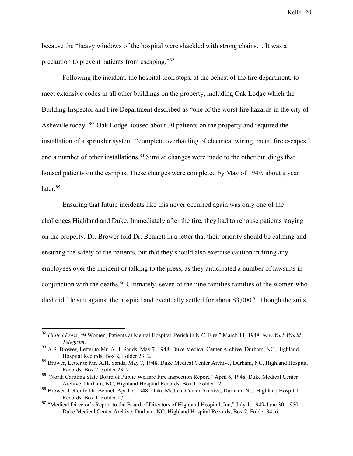because the "heavy windows of the hospital were shackled with strong chains… It was a precaution to prevent patients from escaping."82

Following the incident, the hospital took steps, at the behest of the fire department, to meet extensive codes in all other buildings on the property, including Oak Lodge which the Building Inspector and Fire Department described as "one of the worst fire hazards in the city of Asheville today."83 Oak Lodge housed about 30 patients on the property and required the installation of a sprinkler system, "complete overhauling of electrical wiring, metal fire escapes," and a number of other installations.<sup>84</sup> Similar changes were made to the other buildings that housed patients on the campus. These changes were completed by May of 1949, about a year later.<sup>85</sup>

Ensuring that future incidents like this never occurred again was only one of the challenges Highland and Duke. Immediately after the fire, they had to rehouse patients staying on the property. Dr. Brower told Dr. Bennett in a letter that their priority should be calming and ensuring the safety of the patients, but that they should also exercise caution in firing any employees over the incident or talking to the press, as they anticipated a number of lawsuits in conjunction with the deaths.<sup>86</sup> Ultimately, seven of the nine families families of the women who died did file suit against the hospital and eventually settled for about \$3,000.<sup>87</sup> Though the suits

 <sup>82</sup> *United Press*, "9 Women, Patients at Mental Hospital, Perish in N.C. Fire." March 11, 1948. *New York World Telegram*.

<sup>&</sup>lt;sup>83</sup> A.S. Brower, Letter to Mr. A.H. Sands, May 7, 1948. Duke Medical Center Archive, Durham, NC, Highland Hospital Records, Box 2, Folder 23, 2.

<sup>84</sup> Brower, Letter to Mr. A.H. Sands, May 7, 1948. Duke Medical Center Archive, Durham, NC, Highland Hospital Records, Box 2, Folder 23, 2.

<sup>85</sup> "North Carolina State Board of Public Welfare Fire Inspection Report." April 6, 1948. Duke Medical Center Archive, Durham, NC, Highland Hospital Records, Box 1, Folder 12.

<sup>86</sup> Brower, Letter to Dr. Bennet, April 7, 1948. Duke Medical Center Archive, Durham, NC, Highland Hospital Records, Box 1, Folder 17.

<sup>&</sup>lt;sup>87</sup> "Medical Director's Report to the Board of Directors of Highland Hospital, Inc," July 1, 1949-June 30, 1950, Duke Medical Center Archive, Durham, NC, Highland Hospital Records, Box 2, Folder 34, 6.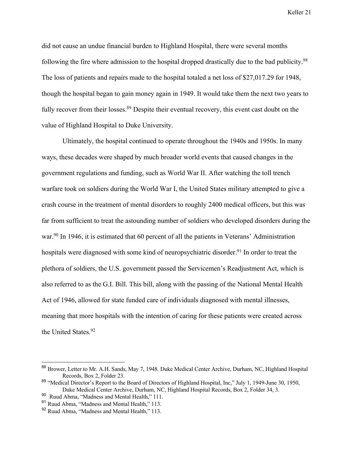did not cause an undue financial burden to Highland Hospital, there were several months following the fire where admission to the hospital dropped drastically due to the bad publicity.<sup>88</sup> The loss of patients and repairs made to the hospital totaled a net loss of \$27,017.29 for 1948, though the hospital began to gain money again in 1949. It would take them the next two years to fully recover from their losses.<sup>89</sup> Despite their eventual recovery, this event cast doubt on the value of Highland Hospital to Duke University.

Ultimately, the hospital continued to operate throughout the 1940s and 1950s. In many ways, these decades were shaped by much broader world events that caused changes in the government regulations and funding, such as World War II. After watching the toll trench warfare took on soldiers during the World War I, the United States military attempted to give a crash course in the treatment of mental disorders to roughly 2400 medical officers, but this was far from sufficient to treat the astounding number of soldiers who developed disorders during the war.<sup>90</sup> In 1946, it is estimated that 60 percent of all the patients in Veterans' Administration hospitals were diagnosed with some kind of neuropsychiatric disorder.<sup>91</sup> In order to treat the plethora of soldiers, the U.S. government passed the Servicemen's Readjustment Act, which is also referred to as the G.I. Bill. This bill, along with the passing of the National Mental Health Act of 1946, allowed for state funded care of individuals diagnosed with mental illnesses, meaning that more hospitals with the intention of caring for these patients were created across the United States.<sup>92</sup>

 <sup>88</sup> Brower, Letter to Mr. A.H. Sands, May 7, 1948. Duke Medical Center Archive, Durham, NC, Highland Hospital Records, Box 2, Folder 23.

<sup>&</sup>lt;sup>89</sup> "Medical Director's Report to the Board of Directors of Highland Hospital, Inc," July 1, 1949-June 30, 1950, Duke Medical Center Archive, Durham, NC, Highland Hospital Records, Box 2, Folder 34, 3.

<sup>90</sup> Ruud Abma, "Madness and Mental Health," 111.

<sup>91</sup> Ruud Abma, "Madness and Mental Health," 113.

<sup>92</sup> Ruud Abma, "Madness and Mental Health," 113.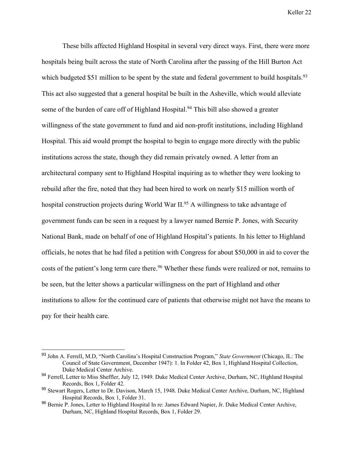These bills affected Highland Hospital in several very direct ways. First, there were more hospitals being built across the state of North Carolina after the passing of the Hill Burton Act which budgeted \$51 million to be spent by the state and federal government to build hospitals.<sup>93</sup> This act also suggested that a general hospital be built in the Asheville, which would alleviate some of the burden of care off of Highland Hospital.<sup>94</sup> This bill also showed a greater willingness of the state government to fund and aid non-profit institutions, including Highland Hospital. This aid would prompt the hospital to begin to engage more directly with the public institutions across the state, though they did remain privately owned. A letter from an architectural company sent to Highland Hospital inquiring as to whether they were looking to rebuild after the fire, noted that they had been hired to work on nearly \$15 million worth of hospital construction projects during World War II.<sup>95</sup> A willingness to take advantage of government funds can be seen in a request by a lawyer named Bernie P. Jones, with Security National Bank, made on behalf of one of Highland Hospital's patients. In his letter to Highland officials, he notes that he had filed a petition with Congress for about \$50,000 in aid to cover the costs of the patient's long term care there.<sup>96</sup> Whether these funds were realized or not, remains to be seen, but the letter shows a particular willingness on the part of Highland and other institutions to allow for the continued care of patients that otherwise might not have the means to pay for their health care.

 <sup>93</sup> John A. Ferrell, M.D, "North Carolina's Hospital Construction Program," *State Government* (Chicago, IL: The Council of State Government, December 1947): 1. In Folder 42, Box 1, Highland Hospital Collection, Duke Medical Center Archive.

<sup>&</sup>lt;sup>94</sup> Ferrell, Letter to Miss Sheffler, July 12, 1949. Duke Medical Center Archive, Durham, NC, Highland Hospital Records, Box 1, Folder 42.

<sup>&</sup>lt;sup>95</sup> Stewart Rogers, Letter to Dr. Davison, March 15, 1948. Duke Medical Center Archive, Durham, NC, Highland Hospital Records, Box 1, Folder 31.

<sup>96</sup> Bernie P. Jones, Letter to Highland Hospital In re: James Edward Napier, Jr. Duke Medical Center Archive, Durham, NC, Highland Hospital Records, Box 1, Folder 29.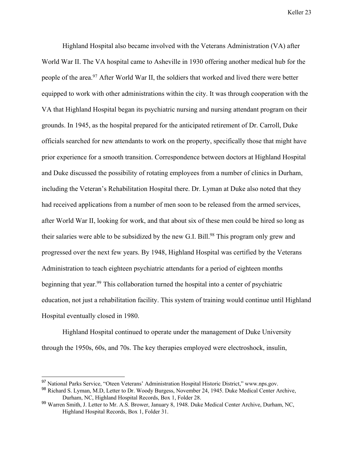Highland Hospital also became involved with the Veterans Administration (VA) after World War II. The VA hospital came to Asheville in 1930 offering another medical hub for the people of the area.<sup>97</sup> After World War II, the soldiers that worked and lived there were better equipped to work with other administrations within the city. It was through cooperation with the VA that Highland Hospital began its psychiatric nursing and nursing attendant program on their grounds. In 1945, as the hospital prepared for the anticipated retirement of Dr. Carroll, Duke officials searched for new attendants to work on the property, specifically those that might have prior experience for a smooth transition. Correspondence between doctors at Highland Hospital and Duke discussed the possibility of rotating employees from a number of clinics in Durham, including the Veteran's Rehabilitation Hospital there. Dr. Lyman at Duke also noted that they had received applications from a number of men soon to be released from the armed services, after World War II, looking for work, and that about six of these men could be hired so long as their salaries were able to be subsidized by the new G.I. Bill.<sup>98</sup> This program only grew and progressed over the next few years. By 1948, Highland Hospital was certified by the Veterans Administration to teach eighteen psychiatric attendants for a period of eighteen months beginning that year.<sup>99</sup> This collaboration turned the hospital into a center of psychiatric education, not just a rehabilitation facility. This system of training would continue until Highland Hospital eventually closed in 1980.

Highland Hospital continued to operate under the management of Duke University through the 1950s, 60s, and 70s. The key therapies employed were electroshock, insulin,

<sup>&</sup>lt;sup>97</sup> National Parks Service, "Oteen Veterans' Administration Hospital Historic District," www.nps.gov.

<sup>98</sup> Richard S. Lyman, M.D, Letter to Dr. Woody Burgess, November 24, 1945. Duke Medical Center Archive, Durham, NC, Highland Hospital Records, Box 1, Folder 28.

<sup>99</sup> Warren Smith, J. Letter to Mr. A.S. Brower, January 8, 1948. Duke Medical Center Archive, Durham, NC, Highland Hospital Records, Box 1, Folder 31.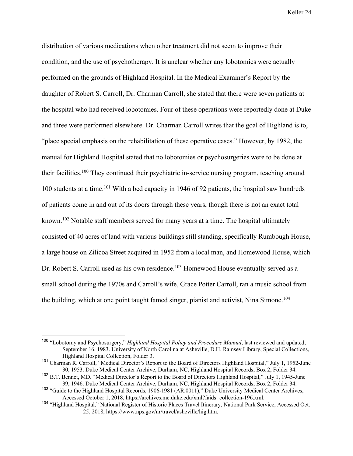distribution of various medications when other treatment did not seem to improve their condition, and the use of psychotherapy. It is unclear whether any lobotomies were actually performed on the grounds of Highland Hospital. In the Medical Examiner's Report by the daughter of Robert S. Carroll, Dr. Charman Carroll, she stated that there were seven patients at the hospital who had received lobotomies. Four of these operations were reportedly done at Duke and three were performed elsewhere. Dr. Charman Carroll writes that the goal of Highland is to, "place special emphasis on the rehabilitation of these operative cases." However, by 1982, the manual for Highland Hospital stated that no lobotomies or psychosurgeries were to be done at their facilities.100 They continued their psychiatric in-service nursing program, teaching around 100 students at a time.101 With a bed capacity in 1946 of 92 patients, the hospital saw hundreds of patients come in and out of its doors through these years, though there is not an exact total known.<sup>102</sup> Notable staff members served for many years at a time. The hospital ultimately consisted of 40 acres of land with various buildings still standing, specifically Rumbough House, a large house on Zilicoa Street acquired in 1952 from a local man, and Homewood House, which Dr. Robert S. Carroll used as his own residence.<sup>103</sup> Homewood House eventually served as a small school during the 1970s and Carroll's wife, Grace Potter Carroll, ran a music school from the building, which at one point taught famed singer, pianist and activist, Nina Simone.<sup>104</sup>

 <sup>100</sup> "Lobotomy and Psychosurgery," *Highland Hospital Policy and Procedure Manual*, last reviewed and updated, September 16, 1983. University of North Carolina at Asheville, D.H. Ramsey Library, Special Collections, Highland Hospital Collection, Folder 3.

<sup>101</sup> Charman R. Carroll, "Medical Director's Report to the Board of Directors Highland Hospital," July 1, 1952-June 30, 1953. Duke Medical Center Archive, Durham, NC, Highland Hospital Records, Box 2, Folder 34.

<sup>&</sup>lt;sup>102</sup> B.T. Bennet, MD. "Medical Director's Report to the Board of Directors Highland Hospital," July 1, 1945-June 39, 1946. Duke Medical Center Archive, Durham, NC, Highland Hospital Records, Box 2, Folder 34.

<sup>&</sup>lt;sup>103</sup> "Guide to the Highland Hospital Records, 1906-1981 (AR.0011)," Duke University Medical Center Archives, Accessed October 1, 2018, https://archives.mc.duke.edu/xml?faids=collection-196.xml.

<sup>&</sup>lt;sup>104</sup> "Highland Hospital," National Register of Historic Places Travel Itinerary, National Park Service, Accessed Oct. 25, 2018, https://www.nps.gov/nr/travel/asheville/hig.htm.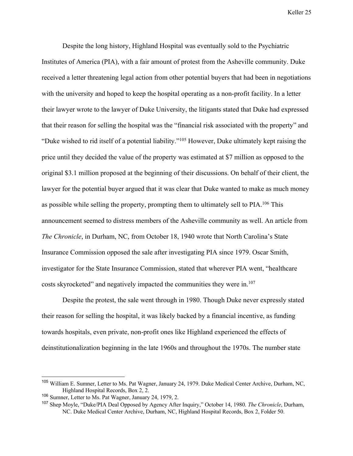Despite the long history, Highland Hospital was eventually sold to the Psychiatric Institutes of America (PIA), with a fair amount of protest from the Asheville community. Duke received a letter threatening legal action from other potential buyers that had been in negotiations with the university and hoped to keep the hospital operating as a non-profit facility. In a letter their lawyer wrote to the lawyer of Duke University, the litigants stated that Duke had expressed that their reason for selling the hospital was the "financial risk associated with the property" and "Duke wished to rid itself of a potential liability."105 However, Duke ultimately kept raising the price until they decided the value of the property was estimated at \$7 million as opposed to the original \$3.1 million proposed at the beginning of their discussions. On behalf of their client, the lawyer for the potential buyer argued that it was clear that Duke wanted to make as much money as possible while selling the property, prompting them to ultimately sell to  $PIA$ .<sup>106</sup> This announcement seemed to distress members of the Asheville community as well. An article from *The Chronicle*, in Durham, NC, from October 18, 1940 wrote that North Carolina's State Insurance Commission opposed the sale after investigating PIA since 1979. Oscar Smith, investigator for the State Insurance Commission, stated that wherever PIA went, "healthcare costs skyrocketed" and negatively impacted the communities they were in.107

Despite the protest, the sale went through in 1980. Though Duke never expressly stated their reason for selling the hospital, it was likely backed by a financial incentive, as funding towards hospitals, even private, non-profit ones like Highland experienced the effects of deinstitutionalization beginning in the late 1960s and throughout the 1970s. The number state

 <sup>105</sup> William E. Sumner, Letter to Ms. Pat Wagner, January 24, 1979. Duke Medical Center Archive, Durham, NC, Highland Hospital Records, Box 2, 2.

<sup>106</sup> Sumner, Letter to Ms. Pat Wagner, January 24, 1979, 2.

<sup>107</sup> Shep Moyle, "Duke/PIA Deal Opposed by Agency After Inquiry," October 14, 1980. *The Chronicle*, Durham, NC. Duke Medical Center Archive, Durham, NC, Highland Hospital Records, Box 2, Folder 50.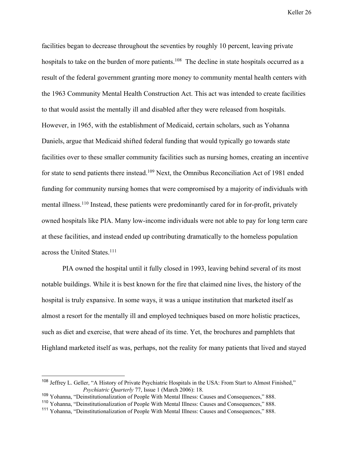facilities began to decrease throughout the seventies by roughly 10 percent, leaving private hospitals to take on the burden of more patients.<sup>108</sup> The decline in state hospitals occurred as a result of the federal government granting more money to community mental health centers with the 1963 Community Mental Health Construction Act. This act was intended to create facilities to that would assist the mentally ill and disabled after they were released from hospitals. However, in 1965, with the establishment of Medicaid, certain scholars, such as Yohanna Daniels, argue that Medicaid shifted federal funding that would typically go towards state facilities over to these smaller community facilities such as nursing homes, creating an incentive for state to send patients there instead.<sup>109</sup> Next, the Omnibus Reconciliation Act of 1981 ended funding for community nursing homes that were compromised by a majority of individuals with mental illness.<sup>110</sup> Instead, these patients were predominantly cared for in for-profit, privately owned hospitals like PIA. Many low-income individuals were not able to pay for long term care at these facilities, and instead ended up contributing dramatically to the homeless population across the United States.<sup>111</sup>

PIA owned the hospital until it fully closed in 1993, leaving behind several of its most notable buildings. While it is best known for the fire that claimed nine lives, the history of the hospital is truly expansive. In some ways, it was a unique institution that marketed itself as almost a resort for the mentally ill and employed techniques based on more holistic practices, such as diet and exercise, that were ahead of its time. Yet, the brochures and pamphlets that Highland marketed itself as was, perhaps, not the reality for many patients that lived and stayed

<sup>&</sup>lt;sup>108</sup> Jeffrey L. Geller, "A History of Private Psychiatric Hospitals in the USA: From Start to Almost Finished," *Psychiatric Quarterly* 77, Issue 1 (March 2006): 18.

<sup>109</sup> Yohanna, "Deinstitutionalization of People With Mental Illness: Causes and Consequences," 888.

<sup>110</sup> Yohanna, "Deinstitutionalization of People With Mental Illness: Causes and Consequences," 888.

<sup>111</sup> Yohanna, "Deinstitutionalization of People With Mental Illness: Causes and Consequences," 888.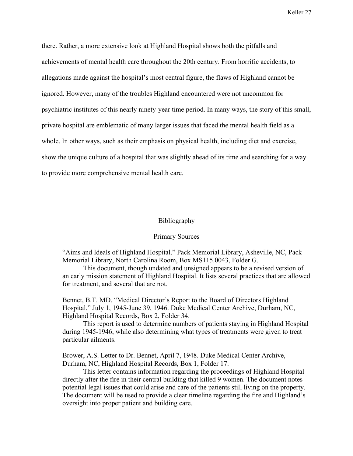there. Rather, a more extensive look at Highland Hospital shows both the pitfalls and achievements of mental health care throughout the 20th century. From horrific accidents, to allegations made against the hospital's most central figure, the flaws of Highland cannot be ignored. However, many of the troubles Highland encountered were not uncommon for psychiatric institutes of this nearly ninety-year time period. In many ways, the story of this small, private hospital are emblematic of many larger issues that faced the mental health field as a whole. In other ways, such as their emphasis on physical health, including diet and exercise, show the unique culture of a hospital that was slightly ahead of its time and searching for a way to provide more comprehensive mental health care.

## Bibliography

## Primary Sources

"Aims and Ideals of Highland Hospital." Pack Memorial Library, Asheville, NC, Pack Memorial Library, North Carolina Room, Box MS115.0043, Folder G.

This document, though undated and unsigned appears to be a revised version of an early mission statement of Highland Hospital. It lists several practices that are allowed for treatment, and several that are not.

Bennet, B.T. MD. "Medical Director's Report to the Board of Directors Highland Hospital," July 1, 1945-June 39, 1946. Duke Medical Center Archive, Durham, NC, Highland Hospital Records, Box 2, Folder 34.

This report is used to determine numbers of patients staying in Highland Hospital during 1945-1946, while also determining what types of treatments were given to treat particular ailments.

Brower, A.S. Letter to Dr. Bennet, April 7, 1948. Duke Medical Center Archive, Durham, NC, Highland Hospital Records, Box 1, Folder 17.

This letter contains information regarding the proceedings of Highland Hospital directly after the fire in their central building that killed 9 women. The document notes potential legal issues that could arise and care of the patients still living on the property. The document will be used to provide a clear timeline regarding the fire and Highland's oversight into proper patient and building care.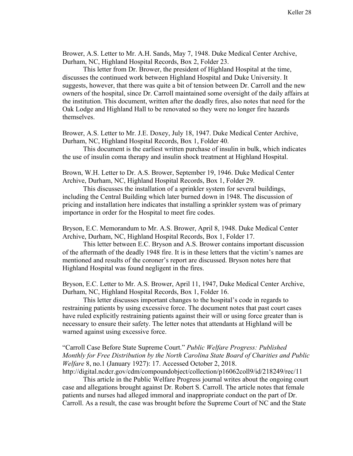Brower, A.S. Letter to Mr. A.H. Sands, May 7, 1948. Duke Medical Center Archive, Durham, NC, Highland Hospital Records, Box 2, Folder 23.

This letter from Dr. Brower, the president of Highland Hospital at the time, discusses the continued work between Highland Hospital and Duke University. It suggests, however, that there was quite a bit of tension between Dr. Carroll and the new owners of the hospital, since Dr. Carroll maintained some oversight of the daily affairs at the institution. This document, written after the deadly fires, also notes that need for the Oak Lodge and Highland Hall to be renovated so they were no longer fire hazards themselves.

Brower, A.S. Letter to Mr. J.E. Doxey, July 18, 1947. Duke Medical Center Archive, Durham, NC, Highland Hospital Records, Box 1, Folder 40.

This document is the earliest written purchase of insulin in bulk, which indicates the use of insulin coma therapy and insulin shock treatment at Highland Hospital.

Brown, W.H. Letter to Dr. A.S. Brower, September 19, 1946. Duke Medical Center Archive, Durham, NC, Highland Hospital Records, Box 1, Folder 29.

This discusses the installation of a sprinkler system for several buildings, including the Central Building which later burned down in 1948. The discussion of pricing and installation here indicates that installing a sprinkler system was of primary importance in order for the Hospital to meet fire codes.

Bryson, E.C. Memorandum to Mr. A.S. Brower, April 8, 1948. Duke Medical Center Archive, Durham, NC, Highland Hospital Records, Box 1, Folder 17.

This letter between E.C. Bryson and A.S. Brower contains important discussion of the aftermath of the deadly 1948 fire. It is in these letters that the victim's names are mentioned and results of the coroner's report are discussed. Bryson notes here that Highland Hospital was found negligent in the fires.

Bryson, E.C. Letter to Mr. A.S. Brower, April 11, 1947, Duke Medical Center Archive, Durham, NC, Highland Hospital Records, Box 1, Folder 16.

This letter discusses important changes to the hospital's code in regards to restraining patients by using excessive force. The document notes that past court cases have ruled explicitly restraining patients against their will or using force greater than is necessary to ensure their safety. The letter notes that attendants at Highland will be warned against using excessive force.

"Carroll Case Before State Supreme Court." *Public Welfare Progress: Published Monthly for Free Distribution by the North Carolina State Board of Charities and Public Welfare* 8, no.1 (January 1927): 17. Accessed October 2, 2018.

http://digital.ncdcr.gov/cdm/compoundobject/collection/p16062coll9/id/218249/rec/11

This article in the Public Welfare Progress journal writes about the ongoing court case and allegations brought against Dr. Robert S. Carroll. The article notes that female patients and nurses had alleged immoral and inappropriate conduct on the part of Dr. Carroll. As a result, the case was brought before the Supreme Court of NC and the State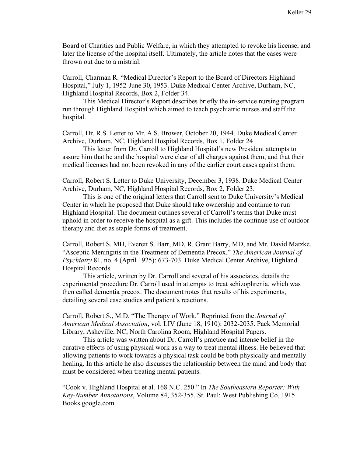Board of Charities and Public Welfare, in which they attempted to revoke his license, and later the license of the hospital itself. Ultimately, the article notes that the cases were thrown out due to a mistrial.

Carroll, Charman R. "Medical Director's Report to the Board of Directors Highland Hospital," July 1, 1952-June 30, 1953. Duke Medical Center Archive, Durham, NC, Highland Hospital Records, Box 2, Folder 34.

This Medical Director's Report describes briefly the in-service nursing program run through Highland Hospital which aimed to teach psychiatric nurses and staff the hospital.

Carroll, Dr. R.S. Letter to Mr. A.S. Brower, October 20, 1944. Duke Medical Center Archive, Durham, NC, Highland Hospital Records, Box 1, Folder 24

This letter from Dr. Carroll to Highland Hospital's new President attempts to assure him that he and the hospital were clear of all charges against them, and that their medical licenses had not been revoked in any of the earlier court cases against them.

Carroll, Robert S. Letter to Duke University, December 3, 1938. Duke Medical Center Archive, Durham, NC, Highland Hospital Records, Box 2, Folder 23.

This is one of the original letters that Carroll sent to Duke University's Medical Center in which he proposed that Duke should take ownership and continue to run Highland Hospital. The document outlines several of Carroll's terms that Duke must uphold in order to receive the hospital as a gift. This includes the continue use of outdoor therapy and diet as staple forms of treatment.

Carroll, Robert S. MD, Everett S. Barr, MD, R. Grant Barry, MD, and Mr. David Matzke. "Asceptic Meningitis in the Treatment of Dementia Precox." *The American Journal of Psychiatry* 81, no. 4 (April 1925): 673-703. Duke Medical Center Archive, Highland Hospital Records.

This article, written by Dr. Carroll and several of his associates, details the experimental procedure Dr. Carroll used in attempts to treat schizophrenia, which was then called dementia precox. The document notes that results of his experiments, detailing several case studies and patient's reactions.

Carroll, Robert S., M.D. "The Therapy of Work." Reprinted from the *Journal of American Medical Association*, vol. LIV (June 18, 1910): 2032-2035. Pack Memorial Library, Asheville, NC, North Carolina Room, Highland Hospital Papers.

This article was written about Dr. Carroll's practice and intense belief in the curative effects of using physical work as a way to treat mental illness. He believed that allowing patients to work towards a physical task could be both physically and mentally healing. In this article he also discusses the relationship between the mind and body that must be considered when treating mental patients.

"Cook v. Highland Hospital et al. 168 N.C. 250." In *The Southeastern Reporter: With Key-Number Annotations*, Volume 84, 352-355. St. Paul: West Publishing Co, 1915. Books.google.com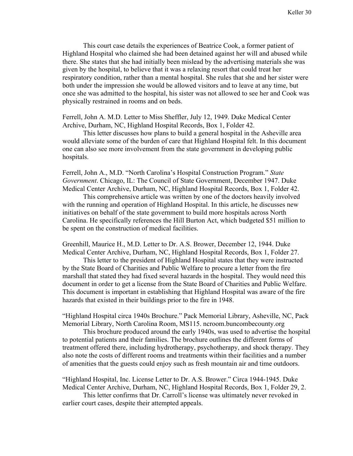This court case details the experiences of Beatrice Cook, a former patient of Highland Hospital who claimed she had been detained against her will and abused while there. She states that she had initially been mislead by the advertising materials she was given by the hospital, to believe that it was a relaxing resort that could treat her respiratory condition, rather than a mental hospital. She rules that she and her sister were both under the impression she would be allowed visitors and to leave at any time, but once she was admitted to the hospital, his sister was not allowed to see her and Cook was physically restrained in rooms and on beds.

Ferrell, John A. M.D. Letter to Miss Sheffler, July 12, 1949. Duke Medical Center Archive, Durham, NC, Highland Hospital Records, Box 1, Folder 42.

This letter discusses how plans to build a general hospital in the Asheville area would alleviate some of the burden of care that Highland Hospital felt. In this document one can also see more involvement from the state government in developing public hospitals.

Ferrell, John A., M.D. "North Carolina's Hospital Construction Program." *State Government*. Chicago, IL: The Council of State Government, December 1947. Duke Medical Center Archive, Durham, NC, Highland Hospital Records, Box 1, Folder 42.

This comprehensive article was written by one of the doctors heavily involved with the running and operation of Highland Hospital. In this article, he discusses new initiatives on behalf of the state government to build more hospitals across North Carolina. He specifically references the Hill Burton Act, which budgeted \$51 million to be spent on the construction of medical facilities.

Greenhill, Maurice H., M.D. Letter to Dr. A.S. Brower, December 12, 1944. Duke Medical Center Archive, Durham, NC, Highland Hospital Records, Box 1, Folder 27.

This letter to the president of Highland Hospital states that they were instructed by the State Board of Charities and Public Welfare to procure a letter from the fire marshall that stated they had fixed several hazards in the hospital. They would need this document in order to get a license from the State Board of Charities and Public Welfare. This document is important in establishing that Highland Hospital was aware of the fire hazards that existed in their buildings prior to the fire in 1948.

"Highland Hospital circa 1940s Brochure." Pack Memorial Library, Asheville, NC, Pack Memorial Library, North Carolina Room, MS115. ncroom.buncombecounty.org

This brochure produced around the early 1940s, was used to advertise the hospital to potential patients and their families. The brochure outlines the different forms of treatment offered there, including hydrotherapy, psychotherapy, and shock therapy. They also note the costs of different rooms and treatments within their facilities and a number of amenities that the guests could enjoy such as fresh mountain air and time outdoors.

"Highland Hospital, Inc. License Letter to Dr. A.S. Brower." Circa 1944-1945. Duke Medical Center Archive, Durham, NC, Highland Hospital Records, Box 1, Folder 29, 2.

This letter confirms that Dr. Carroll's license was ultimately never revoked in earlier court cases, despite their attempted appeals.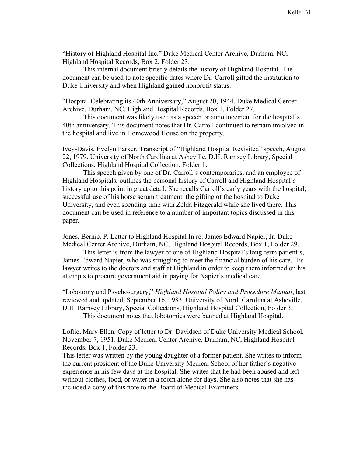"History of Highland Hospital Inc." Duke Medical Center Archive, Durham, NC, Highland Hospital Records, Box 2, Folder 23.

This internal document briefly details the history of Highland Hospital. The document can be used to note specific dates where Dr. Carroll gifted the institution to Duke University and when Highland gained nonprofit status.

"Hospital Celebrating its 40th Anniversary," August 20, 1944. Duke Medical Center Archive, Durham, NC, Highland Hospital Records, Box 1, Folder 27.

This document was likely used as a speech or announcement for the hospital's 40th anniversary. This document notes that Dr. Carroll continued to remain involved in the hospital and live in Homewood House on the property.

Ivey-Davis, Evelyn Parker. Transcript of "Highland Hospital Revisited" speech, August 22, 1979. University of North Carolina at Asheville, D.H. Ramsey Library, Special Collections, Highland Hospital Collection, Folder 1.

This speech given by one of Dr. Carroll's contemporaries, and an employee of Highland Hospitals, outlines the personal history of Carroll and Highland Hospital's history up to this point in great detail. She recalls Carroll's early years with the hospital, successful use of his horse serum treatment, the gifting of the hospital to Duke University, and even spending time with Zelda Fitzgerald while she lived there. This document can be used in reference to a number of important topics discussed in this paper.

Jones, Bernie. P. Letter to Highland Hospital In re: James Edward Napier, Jr. Duke Medical Center Archive, Durham, NC, Highland Hospital Records, Box 1, Folder 29.

This letter is from the lawyer of one of Highland Hospital's long-term patient's, James Edward Napier, who was struggling to meet the financial burden of his care. His lawyer writes to the doctors and staff at Highland in order to keep them informed on his attempts to procure government aid in paying for Napier's medical care.

"Lobotomy and Psychosurgery," *Highland Hospital Policy and Procedure Manual*, last reviewed and updated, September 16, 1983. University of North Carolina at Asheville, D.H. Ramsey Library, Special Collections, Highland Hospital Collection, Folder 3. This document notes that lobotomies were banned at Highland Hospital.

Loftie, Mary Ellen. Copy of letter to Dr. Davidsen of Duke University Medical School, November 7, 1951. Duke Medical Center Archive, Durham, NC, Highland Hospital Records, Box 1, Folder 23.

This letter was written by the young daughter of a former patient. She writes to inform the current president of the Duke University Medical School of her father's negative experience in his few days at the hospital. She writes that he had been abused and left without clothes, food, or water in a room alone for days. She also notes that she has included a copy of this note to the Board of Medical Examiners.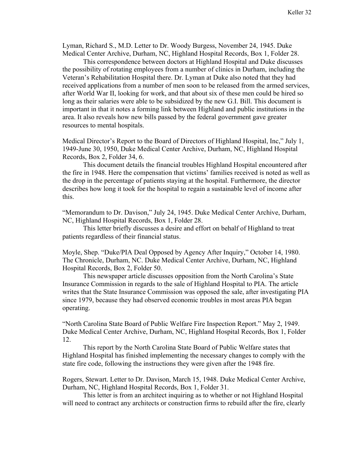Lyman, Richard S., M.D. Letter to Dr. Woody Burgess, November 24, 1945. Duke Medical Center Archive, Durham, NC, Highland Hospital Records, Box 1, Folder 28.

This correspondence between doctors at Highland Hospital and Duke discusses the possibility of rotating employees from a number of clinics in Durham, including the Veteran's Rehabilitation Hospital there. Dr. Lyman at Duke also noted that they had received applications from a number of men soon to be released from the armed services, after World War II, looking for work, and that about six of these men could be hired so long as their salaries were able to be subsidized by the new G.I. Bill. This document is important in that it notes a forming link between Highland and public institutions in the area. It also reveals how new bills passed by the federal government gave greater resources to mental hospitals.

Medical Director's Report to the Board of Directors of Highland Hospital, Inc," July 1, 1949-June 30, 1950, Duke Medical Center Archive, Durham, NC, Highland Hospital Records, Box 2, Folder 34, 6.

This document details the financial troubles Highland Hospital encountered after the fire in 1948. Here the compensation that victims' families received is noted as well as the drop in the percentage of patients staying at the hospital. Furthermore, the director describes how long it took for the hospital to regain a sustainable level of income after this.

"Memorandum to Dr. Davison," July 24, 1945. Duke Medical Center Archive, Durham, NC, Highland Hospital Records, Box 1, Folder 28.

This letter briefly discusses a desire and effort on behalf of Highland to treat patients regardless of their financial status.

Moyle, Shep. "Duke/PIA Deal Opposed by Agency After Inquiry," October 14, 1980. The Chronicle, Durham, NC. Duke Medical Center Archive, Durham, NC, Highland Hospital Records, Box 2, Folder 50.

This newspaper article discusses opposition from the North Carolina's State Insurance Commission in regards to the sale of Highland Hospital to PIA. The article writes that the State Insurance Commission was opposed the sale, after investigating PIA since 1979, because they had observed economic troubles in most areas PIA began operating.

"North Carolina State Board of Public Welfare Fire Inspection Report." May 2, 1949. Duke Medical Center Archive, Durham, NC, Highland Hospital Records, Box 1, Folder 12.

This report by the North Carolina State Board of Public Welfare states that Highland Hospital has finished implementing the necessary changes to comply with the state fire code, following the instructions they were given after the 1948 fire.

Rogers, Stewart. Letter to Dr. Davison, March 15, 1948. Duke Medical Center Archive, Durham, NC, Highland Hospital Records, Box 1, Folder 31.

This letter is from an architect inquiring as to whether or not Highland Hospital will need to contract any architects or construction firms to rebuild after the fire, clearly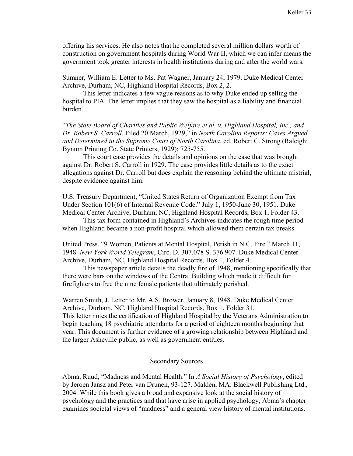offering his services. He also notes that he completed several million dollars worth of construction on government hospitals during World War II, which we can infer means the government took greater interests in health institutions during and after the world wars.

Sumner, William E. Letter to Ms. Pat Wagner, January 24, 1979. Duke Medical Center Archive, Durham, NC, Highland Hospital Records, Box 2, 2.

This letter indicates a few vague reasons as to why Duke ended up selling the hospital to PIA. The letter implies that they saw the hospital as a liability and financial burden.

"*The State Board of Charities and Public Welfare et al. v. Highland Hospital, Inc., and Dr. Robert S. Carroll*. Filed 20 March, 1929," in *North Carolina Reports: Cases Argued and Determined in the Supreme Court of North Carolina*, ed. Robert C. Strong (Raleigh: Bynum Printing Co. State Printers, 1929): 725-755.

This court case provides the details and opinions on the case that was brought against Dr. Robert S. Carroll in 1929. The case provides little details as to the exact allegations against Dr. Carroll but does explain the reasoning behind the ultimate mistrial, despite evidence against him.

U.S. Treasury Department, "United States Return of Organization Exempt from Tax Under Section 101(6) of Internal Revenue Code." July 1, 1950-June 30, 1951. Duke Medical Center Archive, Durham, NC, Highland Hospital Records, Box 1, Folder 43.

This tax form contained in Highland's Archives indicates the rough time period when Highland became a non-profit hospital which allowed them certain tax breaks.

United Press. "9 Women, Patients at Mental Hospital, Perish in N.C. Fire." March 11, 1948. *New York World Telegram*, Circ. D. 307.078 S. 376.907. Duke Medical Center Archive, Durham, NC, Highland Hospital Records, Box 1, Folder 4.

This newspaper article details the deadly fire of 1948, mentioning specifically that there were bars on the windows of the Central Building which made it difficult for firefighters to free the nine female patients that ultimately perished.

Warren Smith, J. Letter to Mr. A.S. Brower, January 8, 1948. Duke Medical Center Archive, Durham, NC, Highland Hospital Records, Box 1, Folder 31. This letter notes the certification of Highland Hospital by the Veterans Administration to begin teaching 18 psychiatric attendants for a period of eighteen months beginning that year. This document is further evidence of a growing relationship between Highland and the larger Asheville public, as well as government entities.

## Secondary Sources

Abma, Ruud, "Madness and Mental Health." In *A Social History of Psychology*, edited by Jeroen Jansz and Peter van Drunen, 93-127. Malden, MA: Blackwell Publishing Ltd., 2004. While this book gives a broad and expansive look at the social history of psychology and the practices and that have arise in applied psychology, Abma's chapter examines societal views of "madness" and a general view history of mental institutions.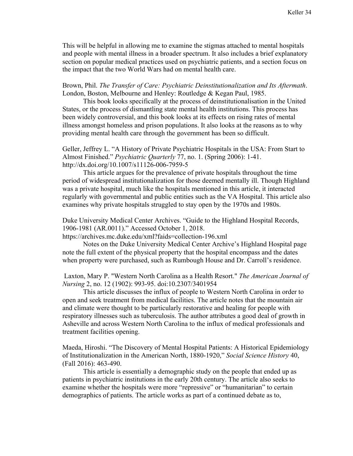This will be helpful in allowing me to examine the stigmas attached to mental hospitals and people with mental illness in a broader spectrum. It also includes a brief explanatory section on popular medical practices used on psychiatric patients, and a section focus on the impact that the two World Wars had on mental health care.

Brown, Phil. *The Transfer of Care: Psychiatric Deinstitutionalization and Its Aftermath*. London, Boston, Melbourne and Henley: Routledge & Kegan Paul, 1985.

This book looks specifically at the process of deinstitutionalisation in the United States, or the process of dismantling state mental health institutions. This process has been widely controversial, and this book looks at its effects on rising rates of mental illness amongst homeless and prison populations. It also looks at the reasons as to why providing mental health care through the government has been so difficult.

Geller, Jeffrey L. "A History of Private Psychiatric Hospitals in the USA: From Start to Almost Finished." *Psychiatric Quarterly* 77, no. 1. (Spring 2006): 1-41. http://dx.doi.org/10.1007/s11126-006-7959-5

This article argues for the prevalence of private hospitals throughout the time period of widespread institutionalization for those deemed mentally ill. Though Highland was a private hospital, much like the hospitals mentioned in this article, it interacted regularly with governmental and public entities such as the VA Hospital. This article also examines why private hospitals struggled to stay open by the 1970s and 1980s.

Duke University Medical Center Archives. "Guide to the Highland Hospital Records, 1906-1981 (AR.0011)." Accessed October 1, 2018.

https://archives.mc.duke.edu/xml?faids=collection-196.xml

Notes on the Duke University Medical Center Archive's Highland Hospital page note the full extent of the physical property that the hospital encompass and the dates when property were purchased, such as Rumbough House and Dr. Carroll's residence.

Laxton, Mary P. "Western North Carolina as a Health Resort." *The American Journal of Nursing* 2, no. 12 (1902): 993-95. doi:10.2307/3401954

This article discusses the influx of people to Western North Carolina in order to open and seek treatment from medical facilities. The article notes that the mountain air and climate were thought to be particularly restorative and healing for people with respiratory illnesses such as tuberculosis. The author attributes a good deal of growth in Asheville and across Western North Carolina to the influx of medical professionals and treatment facilities opening.

Maeda, Hiroshi. "The Discovery of Mental Hospital Patients: A Historical Epidemiology of Institutionalization in the American North, 1880-1920," *Social Science History* 40, (Fall 2016): 463-490.

This article is essentially a demographic study on the people that ended up as patients in psychiatric institutions in the early 20th century. The article also seeks to examine whether the hospitals were more "repressive" or "humanitarian" to certain demographics of patients. The article works as part of a continued debate as to,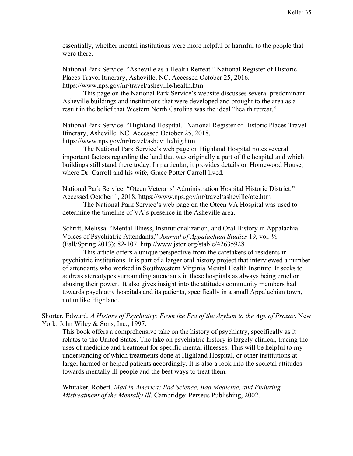essentially, whether mental institutions were more helpful or harmful to the people that were there.

National Park Service. "Asheville as a Health Retreat." National Register of Historic Places Travel Itinerary, Asheville, NC. Accessed October 25, 2016. https://www.nps.gov/nr/travel/asheville/health.htm.

This page on the National Park Service's website discusses several predominant Asheville buildings and institutions that were developed and brought to the area as a result in the belief that Western North Carolina was the ideal "health retreat."

National Park Service. "Highland Hospital." National Register of Historic Places Travel Itinerary, Asheville, NC. Accessed October 25, 2018. https://www.nps.gov/nr/travel/asheville/hig.htm.

The National Park Service's web page on Highland Hospital notes several important factors regarding the land that was originally a part of the hospital and which buildings still stand there today. In particular, it provides details on Homewood House, where Dr. Carroll and his wife, Grace Potter Carroll lived.

National Park Service. "Oteen Veterans' Administration Hospital Historic District." Accessed October 1, 2018. https://www.nps.gov/nr/travel/asheville/ote.htm

The National Park Service's web page on the Oteen VA Hospital was used to determine the timeline of VA's presence in the Asheville area.

Schrift, Melissa. "Mental Illness, Institutionalization, and Oral History in Appalachia: Voices of Psychiatric Attendants," *Journal of Appalachian Studies* 19, vol. ½ (Fall/Spring 2013): 82-107. http://www.jstor.org/stable/42635928

This article offers a unique perspective from the caretakers of residents in psychiatric institutions. It is part of a larger oral history project that interviewed a number of attendants who worked in Southwestern Virginia Mental Health Institute. It seeks to address stereotypes surrounding attendants in these hospitals as always being cruel or abusing their power. It also gives insight into the attitudes community members had towards psychiatry hospitals and its patients, specifically in a small Appalachian town, not unlike Highland.

Shorter, Edward. *A History of Psychiatry: From the Era of the Asylum to the Age of Prozac*. New York: John Wiley & Sons, Inc., 1997.

This book offers a comprehensive take on the history of psychiatry, specifically as it relates to the United States. The take on psychiatric history is largely clinical, tracing the uses of medicine and treatment for specific mental illnesses. This will be helpful to my understanding of which treatments done at Highland Hospital, or other institutions at large, harmed or helped patients accordingly. It is also a look into the societal attitudes towards mentally ill people and the best ways to treat them.

Whitaker, Robert. *Mad in America: Bad Science, Bad Medicine, and Enduring Mistreatment of the Mentally Ill*. Cambridge: Perseus Publishing, 2002.